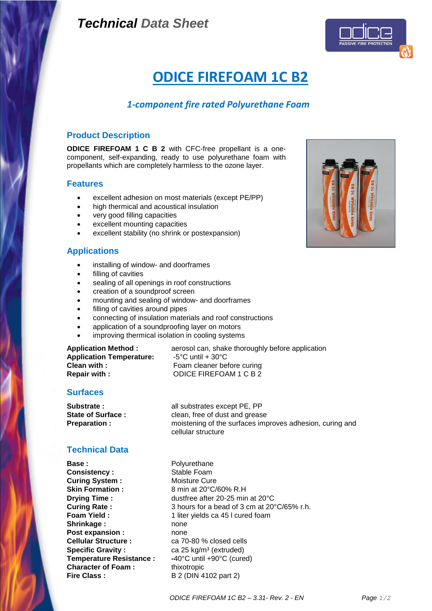# *Technical Data Sheet*



# **ODICE FIREFOAM 1C B2**

# *1-component fire rated Polyurethane Foam*

## **Product Description**

**ODICE FIREFOAM 1 C B 2** with CFC-free propellant is a onecomponent, self-expanding, ready to use polyurethane foam with propellants which are completely harmless to the ozone layer.

#### **Features**

- excellent adhesion on most materials (except PE/PP)
- high thermical and acoustical insulation
- very good filling capacities
- excellent mounting capacities
- excellent stability (no shrink or postexpansion)

### **Applications**

- installing of window- and doorframes
- filling of cavities
- sealing of all openings in roof constructions
- creation of a soundproof screen
- mounting and sealing of window- and doorframes
- filling of cavities around pipes
- connecting of insulation materials and roof constructions
- application of a soundproofing layer on motors
- improving thermical isolation in cooling systems

**Application Temperature:** -5°C until + 30°C **Clean with :** Foam cleaner before curing **Repair with :** ODICE FIREFOAM 1 C B 2

**Application Method :** aerosol can, shake thoroughly before application

# **Surfaces**

Substrate : all substrates except PE, PP **State of Surface :** clean, free of dust and grease **Preparation :** moistening of the surfaces improves adhesion, curing and cellular structure

# **Technical Data**

**Base:** Polyurethane **Consistency :** Stable Foam **Curing System :** Moisture Cure<br> **Skin Formation :** 8 min at 20°C/ Shrinkage : none **Post expansion :** none **Cellular Structure :** ca 70-80 % closed cells **Specific Gravity :** ca 25 kg/m<sup>3</sup> (extruded) **Temperature Resistance : -**40°C until +90°C (cured) **Character of Foam :** thixotropic **Fire Class :** B 2 (DIN 4102 part 2)

**Skin Formation :** 8 min at 20°C/60% R.H **Drying Time :** dustfree after 20-25 min at 20°C **Curing Rate :** 3 hours for a bead of 3 cm at 20°C/65% r.h. **Foam Yield :** 1 liter yields ca 45 l cured foam